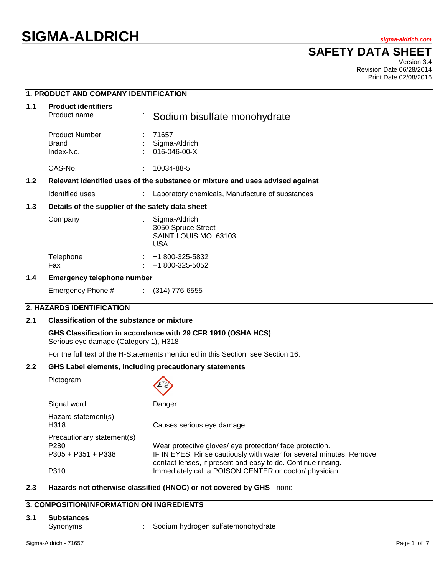# **SIGMA-ALDRICH** *sigma-aldrich.com*

## **SAFETY DATA SHEET**

Version 3.4 Revision Date 06/28/2014 Print Date 02/08/2016

## **1. PRODUCT AND COMPANY IDENTIFICATION**

| 1.1              | <b>Product identifiers</b><br>Product name       | ÷ | Sodium bisulfate monohydrate                                                  |
|------------------|--------------------------------------------------|---|-------------------------------------------------------------------------------|
|                  | <b>Product Number</b><br>Brand<br>Index-No.      |   | : 71657<br>Sigma-Aldrich<br>$016 - 046 - 00 - X$                              |
|                  | CAS-No.                                          |   | 10034-88-5                                                                    |
| 1.2 <sub>1</sub> |                                                  |   | Relevant identified uses of the substance or mixture and uses advised against |
|                  | Identified uses                                  |   | Laboratory chemicals, Manufacture of substances                               |
| 1.3              | Details of the supplier of the safety data sheet |   |                                                                               |
|                  | Company                                          |   | Sigma-Aldrich<br>3050 Spruce Street<br>SAINT LOUIS MO 63103<br><b>USA</b>     |
|                  | Telephone<br>Fax                                 |   | +1 800-325-5832<br>+1 800-325-5052                                            |
| 1.4              | Emergency telephone number                       |   |                                                                               |

## **1.4 Emergency telephone number**

Emergency Phone # : (314) 776-6555

## **2. HAZARDS IDENTIFICATION**

#### **2.1 Classification of the substance or mixture**

**GHS Classification in accordance with 29 CFR 1910 (OSHA HCS)** Serious eye damage (Category 1), H318

For the full text of the H-Statements mentioned in this Section, see Section 16.

## **2.2 GHS Label elements, including precautionary statements**

Pictogram

| Signal word                 | Danger                                                                                                                              |
|-----------------------------|-------------------------------------------------------------------------------------------------------------------------------------|
| Hazard statement(s)<br>H318 | Causes serious eye damage.                                                                                                          |
| Precautionary statement(s)  |                                                                                                                                     |
| P280                        | Wear protective gloves/ eye protection/ face protection.                                                                            |
| P305 + P351 + P338          | IF IN EYES: Rinse cautiously with water for several minutes. Remove<br>contact lenses, if present and easy to do. Continue rinsing. |
| P310                        | Immediately call a POISON CENTER or doctor/physician.                                                                               |

## **2.3 Hazards not otherwise classified (HNOC) or not covered by GHS** - none

## **3. COMPOSITION/INFORMATION ON INGREDIENTS**

#### **3.1 Substances**

- 
- Synonyms : Sodium hydrogen sulfatemonohydrate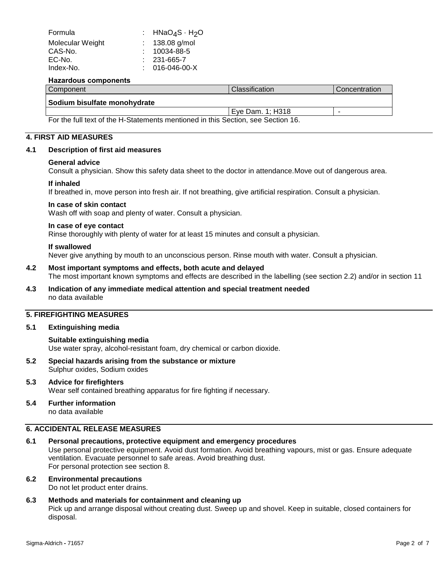| Formula          | : $HNAO4S·H2O$     |
|------------------|--------------------|
| Molecular Weight | : $138.08$ g/mol   |
| CAS-No.          | $: 10034 - 88 - 5$ |
| EC-No.           | $: 231 - 665 - 7$  |
| Index-No.        | $: 016-046-00-X$   |
|                  |                    |

#### **Hazardous components**

| Component                                                                        | l Classification | Concentration |
|----------------------------------------------------------------------------------|------------------|---------------|
| Sodium bisulfate monohydrate                                                     |                  |               |
|                                                                                  | Eye Dam. 1; H318 |               |
| For the full text of the H-Statements mentioned in this Section, see Section 16. |                  |               |

#### **4. FIRST AID MEASURES**

#### **4.1 Description of first aid measures**

#### **General advice**

Consult a physician. Show this safety data sheet to the doctor in attendance.Move out of dangerous area.

#### **If inhaled**

If breathed in, move person into fresh air. If not breathing, give artificial respiration. Consult a physician.

## **In case of skin contact**

Wash off with soap and plenty of water. Consult a physician.

#### **In case of eye contact**

Rinse thoroughly with plenty of water for at least 15 minutes and consult a physician.

#### **If swallowed**

Never give anything by mouth to an unconscious person. Rinse mouth with water. Consult a physician.

## **4.2 Most important symptoms and effects, both acute and delayed**

The most important known symptoms and effects are described in the labelling (see section 2.2) and/or in section 11

## **4.3 Indication of any immediate medical attention and special treatment needed** no data available

## **5. FIREFIGHTING MEASURES**

## **5.1 Extinguishing media**

#### **Suitable extinguishing media**

Use water spray, alcohol-resistant foam, dry chemical or carbon dioxide.

- **5.2 Special hazards arising from the substance or mixture** Sulphur oxides, Sodium oxides
- **5.3 Advice for firefighters** Wear self contained breathing apparatus for fire fighting if necessary.
- **5.4 Further information** no data available

## **6. ACCIDENTAL RELEASE MEASURES**

## **6.1 Personal precautions, protective equipment and emergency procedures**

Use personal protective equipment. Avoid dust formation. Avoid breathing vapours, mist or gas. Ensure adequate ventilation. Evacuate personnel to safe areas. Avoid breathing dust. For personal protection see section 8.

## **6.2 Environmental precautions**

Do not let product enter drains.

## **6.3 Methods and materials for containment and cleaning up**

Pick up and arrange disposal without creating dust. Sweep up and shovel. Keep in suitable, closed containers for disposal.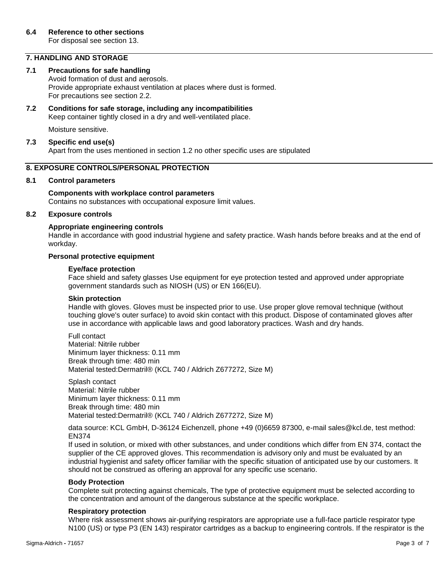For disposal see section 13.

## **7. HANDLING AND STORAGE**

## **7.1 Precautions for safe handling**

Avoid formation of dust and aerosols. Provide appropriate exhaust ventilation at places where dust is formed. For precautions see section 2.2.

## **7.2 Conditions for safe storage, including any incompatibilities** Keep container tightly closed in a dry and well-ventilated place.

Moisture sensitive.

## **7.3 Specific end use(s)**

Apart from the uses mentioned in section 1.2 no other specific uses are stipulated

## **8. EXPOSURE CONTROLS/PERSONAL PROTECTION**

## **8.1 Control parameters**

## **Components with workplace control parameters** Contains no substances with occupational exposure limit values.

## **8.2 Exposure controls**

## **Appropriate engineering controls**

Handle in accordance with good industrial hygiene and safety practice. Wash hands before breaks and at the end of workday.

## **Personal protective equipment**

## **Eye/face protection**

Face shield and safety glasses Use equipment for eye protection tested and approved under appropriate government standards such as NIOSH (US) or EN 166(EU).

#### **Skin protection**

Handle with gloves. Gloves must be inspected prior to use. Use proper glove removal technique (without touching glove's outer surface) to avoid skin contact with this product. Dispose of contaminated gloves after use in accordance with applicable laws and good laboratory practices. Wash and dry hands.

Full contact Material: Nitrile rubber Minimum layer thickness: 0.11 mm Break through time: 480 min Material tested:Dermatril® (KCL 740 / Aldrich Z677272, Size M)

Splash contact Material: Nitrile rubber Minimum layer thickness: 0.11 mm Break through time: 480 min Material tested:Dermatril® (KCL 740 / Aldrich Z677272, Size M)

data source: KCL GmbH, D-36124 Eichenzell, phone +49 (0)6659 87300, e-mail sales@kcl.de, test method: EN374

If used in solution, or mixed with other substances, and under conditions which differ from EN 374, contact the supplier of the CE approved gloves. This recommendation is advisory only and must be evaluated by an industrial hygienist and safety officer familiar with the specific situation of anticipated use by our customers. It should not be construed as offering an approval for any specific use scenario.

## **Body Protection**

Complete suit protecting against chemicals, The type of protective equipment must be selected according to the concentration and amount of the dangerous substance at the specific workplace.

## **Respiratory protection**

Where risk assessment shows air-purifying respirators are appropriate use a full-face particle respirator type N100 (US) or type P3 (EN 143) respirator cartridges as a backup to engineering controls. If the respirator is the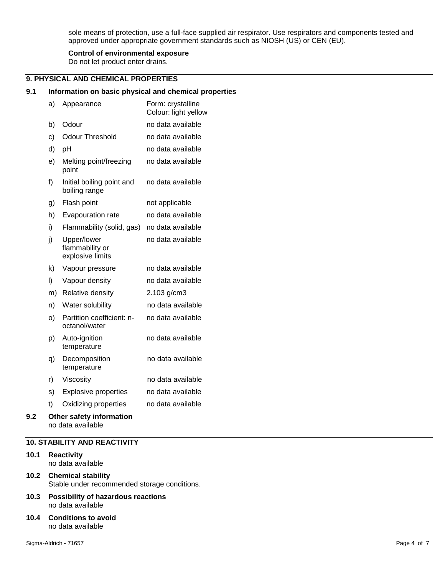sole means of protection, use a full-face supplied air respirator. Use respirators and components tested and approved under appropriate government standards such as NIOSH (US) or CEN (EU).

## **Control of environmental exposure**

Do not let product enter drains.

## **9. PHYSICAL AND CHEMICAL PROPERTIES**

## **9.1 Information on basic physical and chemical properties**

|     | a) | Appearance                                         | Form: crystalline<br>Colour: light yellow |
|-----|----|----------------------------------------------------|-------------------------------------------|
|     | b) | Odour                                              | no data available                         |
|     | c) | <b>Odour Threshold</b>                             | no data available                         |
|     | d) | pH                                                 | no data available                         |
|     | e) | Melting point/freezing<br>point                    | no data available                         |
|     | f) | Initial boiling point and<br>boiling range         | no data available                         |
|     | g) | Flash point                                        | not applicable                            |
|     | h) | Evapouration rate                                  | no data available                         |
|     | i) | Flammability (solid, gas)                          | no data available                         |
|     | j) | Upper/lower<br>flammability or<br>explosive limits | no data available                         |
|     | k) | Vapour pressure                                    | no data available                         |
|     | I) | Vapour density                                     | no data available                         |
|     | m) | Relative density                                   | 2.103 g/cm3                               |
|     | n) | Water solubility                                   | no data available                         |
|     | O) | Partition coefficient: n-<br>octanol/water         | no data available                         |
|     | p) | Auto-ignition<br>temperature                       | no data available                         |
|     | q) | Decomposition<br>temperature                       | no data available                         |
|     | r) | Viscosity                                          | no data available                         |
|     | s) | <b>Explosive properties</b>                        | no data available                         |
|     | t) | Oxidizing properties                               | no data available                         |
| 9.2 |    | Other safety information                           |                                           |

## no data available

## **10. STABILITY AND REACTIVITY**

- **10.1 Reactivity** no data available
- **10.2 Chemical stability** Stable under recommended storage conditions.
- **10.3 Possibility of hazardous reactions** no data available
- **10.4 Conditions to avoid** no data available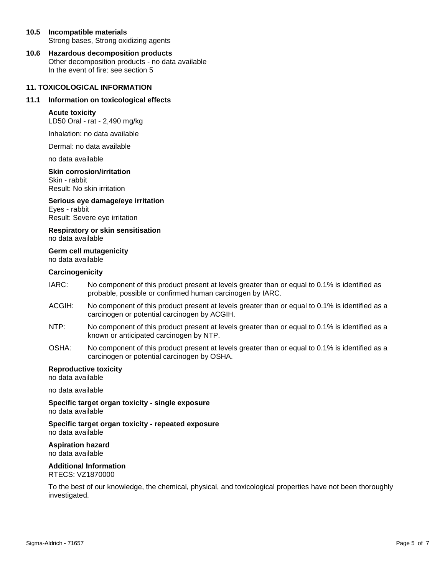## **10.5 Incompatible materials** Strong bases, Strong oxidizing agents

**10.6 Hazardous decomposition products** Other decomposition products - no data available In the event of fire: see section 5

## **11. TOXICOLOGICAL INFORMATION**

## **11.1 Information on toxicological effects**

#### **Acute toxicity**

LD50 Oral - rat - 2,490 mg/kg

Inhalation: no data available

Dermal: no data available

no data available

#### **Skin corrosion/irritation**

Skin - rabbit Result: No skin irritation

**Serious eye damage/eye irritation** Eyes - rabbit Result: Severe eye irritation

**Respiratory or skin sensitisation** no data available

#### **Germ cell mutagenicity** no data available

#### **Carcinogenicity**

- IARC: No component of this product present at levels greater than or equal to 0.1% is identified as probable, possible or confirmed human carcinogen by IARC.
- ACGIH: No component of this product present at levels greater than or equal to 0.1% is identified as a carcinogen or potential carcinogen by ACGIH.
- NTP: No component of this product present at levels greater than or equal to 0.1% is identified as a known or anticipated carcinogen by NTP.
- OSHA: No component of this product present at levels greater than or equal to 0.1% is identified as a carcinogen or potential carcinogen by OSHA.

## **Reproductive toxicity**

no data available

no data available

**Specific target organ toxicity - single exposure** no data available

**Specific target organ toxicity - repeated exposure** no data available

**Aspiration hazard** no data available

## **Additional Information**

RTECS: VZ1870000

To the best of our knowledge, the chemical, physical, and toxicological properties have not been thoroughly investigated.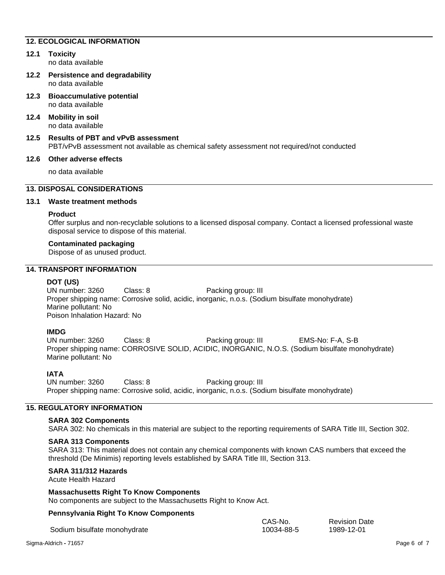## **12. ECOLOGICAL INFORMATION**

## **12.1 Toxicity**

no data available

- **12.2 Persistence and degradability** no data available
- **12.3 Bioaccumulative potential** no data available
- **12.4 Mobility in soil** no data available
- **12.5 Results of PBT and vPvB assessment** PBT/vPvB assessment not available as chemical safety assessment not required/not conducted

## **12.6 Other adverse effects**

no data available

## **13. DISPOSAL CONSIDERATIONS**

## **13.1 Waste treatment methods**

## **Product**

Offer surplus and non-recyclable solutions to a licensed disposal company. Contact a licensed professional waste disposal service to dispose of this material.

## **Contaminated packaging**

Dispose of as unused product.

## **14. TRANSPORT INFORMATION**

## **DOT (US)**

UN number: 3260 Class: 8 Packing group: III Proper shipping name: Corrosive solid, acidic, inorganic, n.o.s. (Sodium bisulfate monohydrate) Marine pollutant: No Poison Inhalation Hazard: No

## **IMDG**

UN number: 3260 Class: 8 Packing group: III EMS-No: F-A, S-B Proper shipping name: CORROSIVE SOLID, ACIDIC, INORGANIC, N.O.S. (Sodium bisulfate monohydrate) Marine pollutant: No

## **IATA**

UN number: 3260 Class: 8 Packing group: III Proper shipping name: Corrosive solid, acidic, inorganic, n.o.s. (Sodium bisulfate monohydrate)

## **15. REGULATORY INFORMATION**

#### **SARA 302 Components**

SARA 302: No chemicals in this material are subject to the reporting requirements of SARA Title III, Section 302.

## **SARA 313 Components**

SARA 313: This material does not contain any chemical components with known CAS numbers that exceed the threshold (De Minimis) reporting levels established by SARA Title III, Section 313.

> CAS-No. 10034-88-5

## **SARA 311/312 Hazards**

Acute Health Hazard

## **Massachusetts Right To Know Components**

No components are subject to the Massachusetts Right to Know Act.

## **Pennsylvania Right To Know Components**

Sodium bisulfate monohydrate